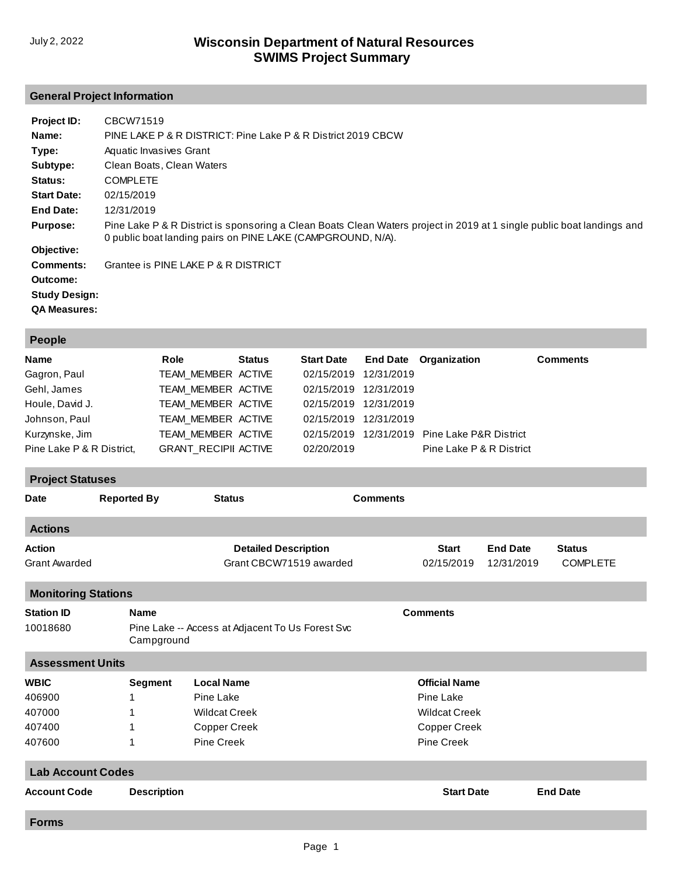# **General Project Information**

| Project ID:          | CBCW71519                                                                                                                                                                             |
|----------------------|---------------------------------------------------------------------------------------------------------------------------------------------------------------------------------------|
| Name:                | PINE LAKE P & R DISTRICT: Pine Lake P & R District 2019 CBCW                                                                                                                          |
| Type:                | Aquatic Invasives Grant                                                                                                                                                               |
| Subtype:             | Clean Boats, Clean Waters                                                                                                                                                             |
| Status:              | <b>COMPLETE</b>                                                                                                                                                                       |
| <b>Start Date:</b>   | 02/15/2019                                                                                                                                                                            |
| End Date:            | 12/31/2019                                                                                                                                                                            |
| <b>Purpose:</b>      | Pine Lake P & R District is sponsoring a Clean Boats Clean Waters project in 2019 at 1 single public boat landings and<br>0 public boat landing pairs on PINE LAKE (CAMPGROUND, N/A). |
| Objective:           |                                                                                                                                                                                       |
| Comments:            | Grantee is PINE LAKE P & R DISTRICT                                                                                                                                                   |
| Outcome:             |                                                                                                                                                                                       |
| <b>Study Design:</b> |                                                                                                                                                                                       |
| <b>QA Measures:</b>  |                                                                                                                                                                                       |

| <b>People</b>                                                                                                          |                                    |                                                                                                                                                   |               |                                                                                                       |                                                                                       |                                                                                         |                               |                                  |  |  |
|------------------------------------------------------------------------------------------------------------------------|------------------------------------|---------------------------------------------------------------------------------------------------------------------------------------------------|---------------|-------------------------------------------------------------------------------------------------------|---------------------------------------------------------------------------------------|-----------------------------------------------------------------------------------------|-------------------------------|----------------------------------|--|--|
| Name<br>Gagron, Paul<br>Gehl, James<br>Houle, David J.<br>Johnson, Paul<br>Kurzynske, Jim<br>Pine Lake P & R District, |                                    | Role<br>TEAM_MEMBER ACTIVE<br>TEAM_MEMBER ACTIVE<br>TEAM MEMBER ACTIVE<br>TEAM MEMBER ACTIVE<br>TEAM_MEMBER ACTIVE<br><b>GRANT_RECIPII ACTIVE</b> | <b>Status</b> | <b>Start Date</b><br>02/15/2019<br>02/15/2019<br>02/15/2019<br>02/15/2019<br>02/15/2019<br>02/20/2019 | <b>End Date</b><br>12/31/2019<br>12/31/2019<br>12/31/2019<br>12/31/2019<br>12/31/2019 | Organization<br>Pine Lake P&R District<br>Pine Lake P & R District                      |                               | <b>Comments</b>                  |  |  |
| <b>Project Statuses</b>                                                                                                |                                    |                                                                                                                                                   |               |                                                                                                       |                                                                                       |                                                                                         |                               |                                  |  |  |
| <b>Date</b>                                                                                                            | <b>Reported By</b>                 | <b>Status</b>                                                                                                                                     |               |                                                                                                       | <b>Comments</b>                                                                       |                                                                                         |                               |                                  |  |  |
| <b>Actions</b>                                                                                                         |                                    |                                                                                                                                                   |               |                                                                                                       |                                                                                       |                                                                                         |                               |                                  |  |  |
| <b>Action</b><br><b>Grant Awarded</b>                                                                                  |                                    |                                                                                                                                                   |               | <b>Detailed Description</b><br>Grant CBCW71519 awarded                                                |                                                                                       | <b>Start</b><br>02/15/2019                                                              | <b>End Date</b><br>12/31/2019 | <b>Status</b><br><b>COMPLETE</b> |  |  |
| <b>Monitoring Stations</b>                                                                                             |                                    |                                                                                                                                                   |               |                                                                                                       |                                                                                       |                                                                                         |                               |                                  |  |  |
| <b>Station ID</b><br>10018680                                                                                          |                                    | <b>Name</b><br>Pine Lake -- Access at Adjacent To Us Forest Svc<br>Campground                                                                     |               |                                                                                                       |                                                                                       | <b>Comments</b>                                                                         |                               |                                  |  |  |
| <b>Assessment Units</b>                                                                                                |                                    |                                                                                                                                                   |               |                                                                                                       |                                                                                       |                                                                                         |                               |                                  |  |  |
| <b>WBIC</b><br>406900<br>407000<br>407400<br>407600                                                                    | <b>Segment</b><br>1<br>1<br>1<br>1 | <b>Local Name</b><br>Pine Lake<br><b>Wildcat Creek</b><br>Copper Creek<br><b>Pine Creek</b>                                                       |               |                                                                                                       |                                                                                       | <b>Official Name</b><br>Pine Lake<br><b>Wildcat Creek</b><br>Copper Creek<br>Pine Creek |                               |                                  |  |  |
| <b>Lab Account Codes</b>                                                                                               |                                    |                                                                                                                                                   |               |                                                                                                       |                                                                                       |                                                                                         |                               |                                  |  |  |
| <b>Account Code</b>                                                                                                    |                                    | <b>Description</b>                                                                                                                                |               |                                                                                                       |                                                                                       | <b>Start Date</b>                                                                       |                               | <b>End Date</b>                  |  |  |
| <b>Forms</b>                                                                                                           |                                    |                                                                                                                                                   |               |                                                                                                       |                                                                                       |                                                                                         |                               |                                  |  |  |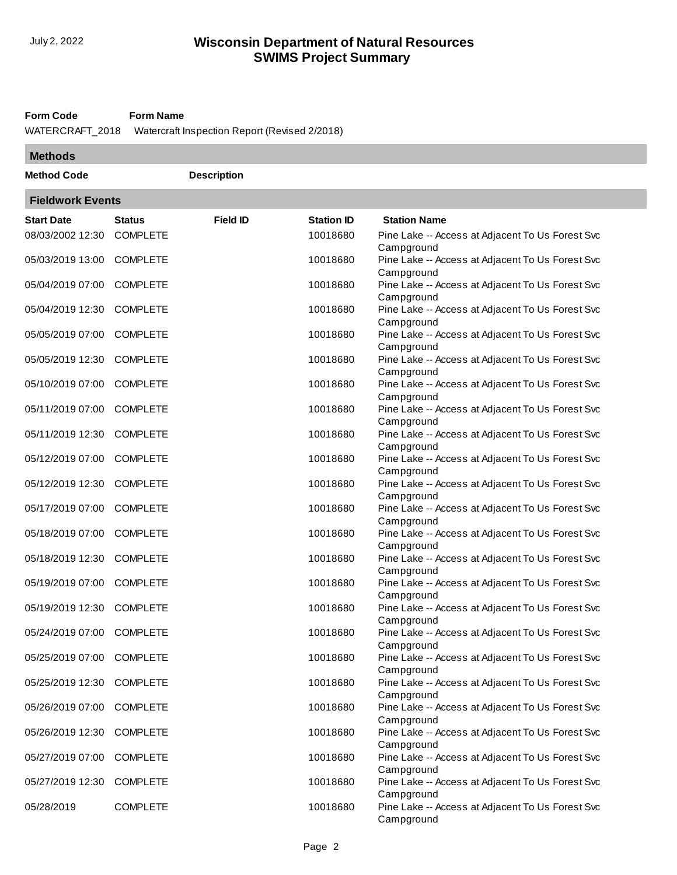#### **Form Code Form Name**

WATERCRAFT\_2018 Watercraft Inspection Report (Revised 2/2018)

| <b>Methods</b>     |                         |                    |                   |                                                                |  |  |  |  |
|--------------------|-------------------------|--------------------|-------------------|----------------------------------------------------------------|--|--|--|--|
| <b>Method Code</b> |                         | <b>Description</b> |                   |                                                                |  |  |  |  |
|                    | <b>Fieldwork Events</b> |                    |                   |                                                                |  |  |  |  |
| <b>Start Date</b>  | <b>Status</b>           | <b>Field ID</b>    | <b>Station ID</b> | <b>Station Name</b>                                            |  |  |  |  |
| 08/03/2002 12:30   | <b>COMPLETE</b>         |                    | 10018680          | Pine Lake -- Access at Adjacent To Us Forest Svc<br>Campground |  |  |  |  |
| 05/03/2019 13:00   | <b>COMPLETE</b>         |                    | 10018680          | Pine Lake -- Access at Adjacent To Us Forest Svc<br>Campground |  |  |  |  |
| 05/04/2019 07:00   | <b>COMPLETE</b>         |                    | 10018680          | Pine Lake -- Access at Adjacent To Us Forest Svc<br>Campground |  |  |  |  |
| 05/04/2019 12:30   | <b>COMPLETE</b>         |                    | 10018680          | Pine Lake -- Access at Adjacent To Us Forest Svc<br>Campground |  |  |  |  |
| 05/05/2019 07:00   | <b>COMPLETE</b>         |                    | 10018680          | Pine Lake -- Access at Adjacent To Us Forest Svc<br>Campground |  |  |  |  |
| 05/05/2019 12:30   | <b>COMPLETE</b>         |                    | 10018680          | Pine Lake -- Access at Adjacent To Us Forest Svc<br>Campground |  |  |  |  |
| 05/10/2019 07:00   | <b>COMPLETE</b>         |                    | 10018680          | Pine Lake -- Access at Adjacent To Us Forest Svc<br>Campground |  |  |  |  |
| 05/11/2019 07:00   | <b>COMPLETE</b>         |                    | 10018680          | Pine Lake -- Access at Adjacent To Us Forest Svc<br>Campground |  |  |  |  |
| 05/11/2019 12:30   | <b>COMPLETE</b>         |                    | 10018680          | Pine Lake -- Access at Adjacent To Us Forest Svc<br>Campground |  |  |  |  |
| 05/12/2019 07:00   | <b>COMPLETE</b>         |                    | 10018680          | Pine Lake -- Access at Adjacent To Us Forest Svc<br>Campground |  |  |  |  |
| 05/12/2019 12:30   | <b>COMPLETE</b>         |                    | 10018680          | Pine Lake -- Access at Adjacent To Us Forest Svc<br>Campground |  |  |  |  |
| 05/17/2019 07:00   | <b>COMPLETE</b>         |                    | 10018680          | Pine Lake -- Access at Adjacent To Us Forest Svc<br>Campground |  |  |  |  |
| 05/18/2019 07:00   | <b>COMPLETE</b>         |                    | 10018680          | Pine Lake -- Access at Adjacent To Us Forest Svc<br>Campground |  |  |  |  |
| 05/18/2019 12:30   | <b>COMPLETE</b>         |                    | 10018680          | Pine Lake -- Access at Adjacent To Us Forest Svc<br>Campground |  |  |  |  |
| 05/19/2019 07:00   | <b>COMPLETE</b>         |                    | 10018680          | Pine Lake -- Access at Adjacent To Us Forest Svc<br>Campground |  |  |  |  |
| 05/19/2019 12:30   | <b>COMPLETE</b>         |                    | 10018680          | Pine Lake -- Access at Adjacent To Us Forest Svc<br>Campground |  |  |  |  |
| 05/24/2019 07:00   | <b>COMPLETE</b>         |                    | 10018680          | Pine Lake -- Access at Adjacent To Us Forest Svc<br>Campground |  |  |  |  |
| 05/25/2019 07:00   | <b>COMPLETE</b>         |                    | 10018680          | Pine Lake -- Access at Adjacent To Us Forest Svc<br>Campground |  |  |  |  |
| 05/25/2019 12:30   | <b>COMPLETE</b>         |                    | 10018680          | Pine Lake -- Access at Adjacent To Us Forest Svc<br>Campground |  |  |  |  |
| 05/26/2019 07:00   | <b>COMPLETE</b>         |                    | 10018680          | Pine Lake -- Access at Adjacent To Us Forest Svc<br>Campground |  |  |  |  |
| 05/26/2019 12:30   | <b>COMPLETE</b>         |                    | 10018680          | Pine Lake -- Access at Adjacent To Us Forest Svc<br>Campground |  |  |  |  |
| 05/27/2019 07:00   | <b>COMPLETE</b>         |                    | 10018680          | Pine Lake -- Access at Adjacent To Us Forest Svc<br>Campground |  |  |  |  |
| 05/27/2019 12:30   | <b>COMPLETE</b>         |                    | 10018680          | Pine Lake -- Access at Adjacent To Us Forest Svc<br>Campground |  |  |  |  |
| 05/28/2019         | <b>COMPLETE</b>         |                    | 10018680          | Pine Lake -- Access at Adjacent To Us Forest Svc<br>Campground |  |  |  |  |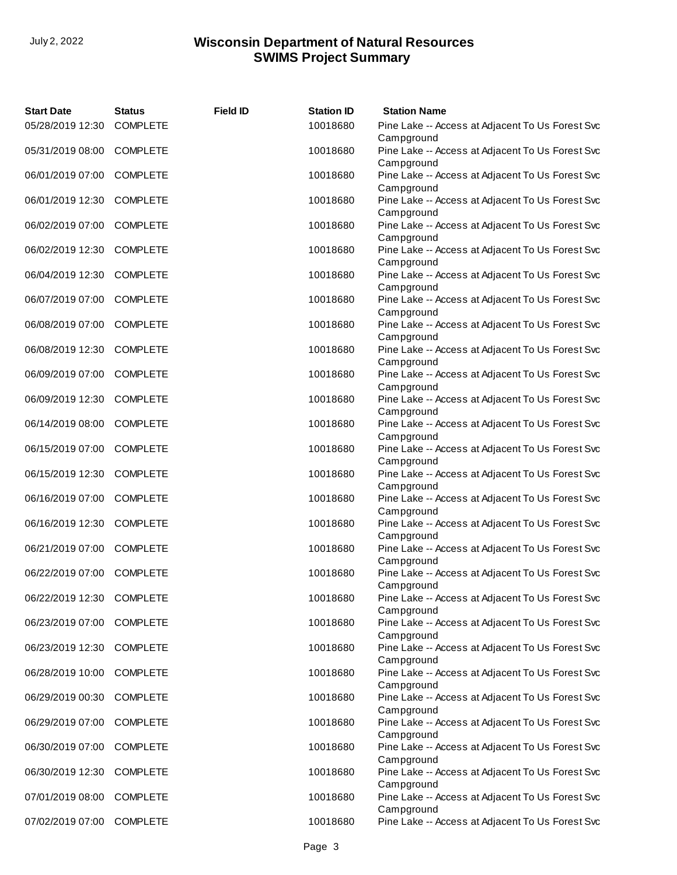| <b>Start Date</b>         | <b>Status</b>   | <b>Field ID</b> | <b>Station ID</b> | <b>Station Name</b>                                            |
|---------------------------|-----------------|-----------------|-------------------|----------------------------------------------------------------|
| 05/28/2019 12:30          | <b>COMPLETE</b> |                 | 10018680          | Pine Lake -- Access at Adjacent To Us Forest Svc<br>Campground |
| 05/31/2019 08:00 COMPLETE |                 |                 | 10018680          | Pine Lake -- Access at Adjacent To Us Forest Svc<br>Campground |
| 06/01/2019 07:00 COMPLETE |                 |                 | 10018680          | Pine Lake -- Access at Adjacent To Us Forest Svc<br>Campground |
| 06/01/2019 12:30          | <b>COMPLETE</b> |                 | 10018680          | Pine Lake -- Access at Adjacent To Us Forest Svc<br>Campground |
| 06/02/2019 07:00          | <b>COMPLETE</b> |                 | 10018680          | Pine Lake -- Access at Adjacent To Us Forest Svc<br>Campground |
| 06/02/2019 12:30          | <b>COMPLETE</b> |                 | 10018680          | Pine Lake -- Access at Adjacent To Us Forest Svc<br>Campground |
| 06/04/2019 12:30          | <b>COMPLETE</b> |                 | 10018680          | Pine Lake -- Access at Adjacent To Us Forest Svc<br>Campground |
| 06/07/2019 07:00          | <b>COMPLETE</b> |                 | 10018680          | Pine Lake -- Access at Adjacent To Us Forest Svc<br>Campground |
| 06/08/2019 07:00          | <b>COMPLETE</b> |                 | 10018680          | Pine Lake -- Access at Adjacent To Us Forest Svc<br>Campground |
| 06/08/2019 12:30 COMPLETE |                 |                 | 10018680          | Pine Lake -- Access at Adjacent To Us Forest Svc<br>Campground |
| 06/09/2019 07:00 COMPLETE |                 |                 | 10018680          | Pine Lake -- Access at Adjacent To Us Forest Svc<br>Campground |
| 06/09/2019 12:30 COMPLETE |                 |                 | 10018680          | Pine Lake -- Access at Adjacent To Us Forest Svc<br>Campground |
| 06/14/2019 08:00          | <b>COMPLETE</b> |                 | 10018680          | Pine Lake -- Access at Adjacent To Us Forest Svc<br>Campground |
| 06/15/2019 07:00          | <b>COMPLETE</b> |                 | 10018680          | Pine Lake -- Access at Adjacent To Us Forest Svc<br>Campground |
| 06/15/2019 12:30          | <b>COMPLETE</b> |                 | 10018680          | Pine Lake -- Access at Adjacent To Us Forest Svc<br>Campground |
| 06/16/2019 07:00          | <b>COMPLETE</b> |                 | 10018680          | Pine Lake -- Access at Adjacent To Us Forest Svc<br>Campground |
| 06/16/2019 12:30          | <b>COMPLETE</b> |                 | 10018680          | Pine Lake -- Access at Adjacent To Us Forest Svc<br>Campground |
| 06/21/2019 07:00 COMPLETE |                 |                 | 10018680          | Pine Lake -- Access at Adjacent To Us Forest Svc<br>Campground |
| 06/22/2019 07:00 COMPLETE |                 |                 | 10018680          | Pine Lake -- Access at Adjacent To Us Forest Svc<br>Campground |
| 06/22/2019 12:30 COMPLETE |                 |                 | 10018680          | Pine Lake -- Access at Adjacent To Us Forest Svc<br>Campground |
| 06/23/2019 07:00          | <b>COMPLETE</b> |                 | 10018680          | Pine Lake -- Access at Adjacent To Us Forest Svc<br>Campground |
| 06/23/2019 12:30 COMPLETE |                 |                 | 10018680          | Pine Lake -- Access at Adjacent To Us Forest Svc<br>Campground |
| 06/28/2019 10:00 COMPLETE |                 |                 | 10018680          | Pine Lake -- Access at Adjacent To Us Forest Svc<br>Campground |
| 06/29/2019 00:30          | <b>COMPLETE</b> |                 | 10018680          | Pine Lake -- Access at Adjacent To Us Forest Svc<br>Campground |
| 06/29/2019 07:00          | <b>COMPLETE</b> |                 | 10018680          | Pine Lake -- Access at Adjacent To Us Forest Svc<br>Campground |
| 06/30/2019 07:00          | <b>COMPLETE</b> |                 | 10018680          | Pine Lake -- Access at Adjacent To Us Forest Svc<br>Campground |
| 06/30/2019 12:30          | <b>COMPLETE</b> |                 | 10018680          | Pine Lake -- Access at Adjacent To Us Forest Svc<br>Campground |
| 07/01/2019 08:00          | <b>COMPLETE</b> |                 | 10018680          | Pine Lake -- Access at Adjacent To Us Forest Svc<br>Campground |
| 07/02/2019 07:00 COMPLETE |                 |                 | 10018680          | Pine Lake -- Access at Adjacent To Us Forest Svc               |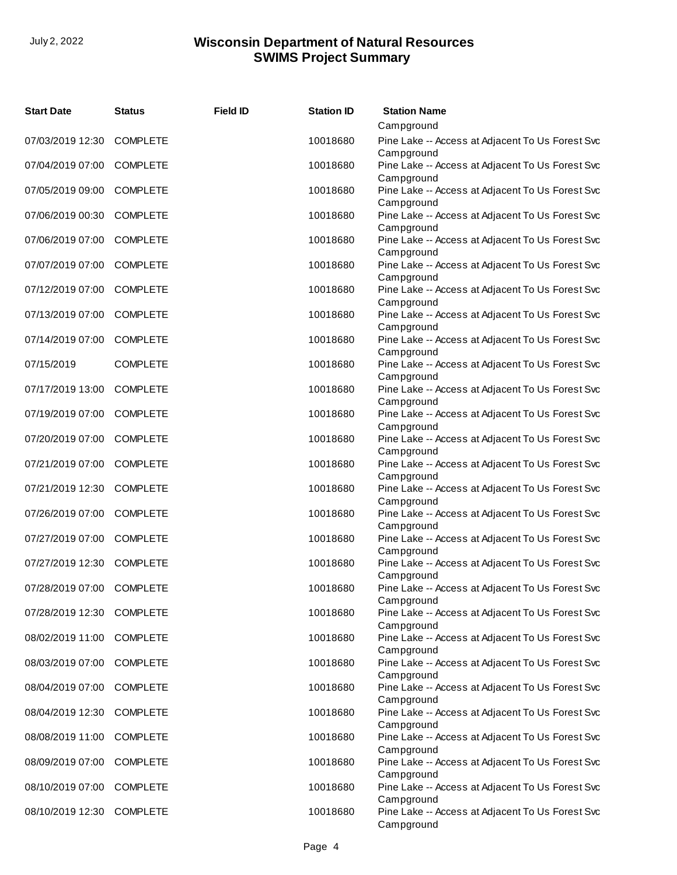| <b>Start Date</b>         | <b>Status</b>   | <b>Field ID</b> | <b>Station ID</b> | <b>Station Name</b>                                            |
|---------------------------|-----------------|-----------------|-------------------|----------------------------------------------------------------|
|                           |                 |                 |                   | Campground                                                     |
| 07/03/2019 12:30 COMPLETE |                 |                 | 10018680          | Pine Lake -- Access at Adjacent To Us Forest Svc<br>Campground |
| 07/04/2019 07:00 COMPLETE |                 |                 | 10018680          | Pine Lake -- Access at Adjacent To Us Forest Svc<br>Campground |
| 07/05/2019 09:00 COMPLETE |                 |                 | 10018680          | Pine Lake -- Access at Adjacent To Us Forest Svc<br>Campground |
| 07/06/2019 00:30          | <b>COMPLETE</b> |                 | 10018680          | Pine Lake -- Access at Adjacent To Us Forest Svc<br>Campground |
| 07/06/2019 07:00          | <b>COMPLETE</b> |                 | 10018680          | Pine Lake -- Access at Adjacent To Us Forest Svc<br>Campground |
| 07/07/2019 07:00          | <b>COMPLETE</b> |                 | 10018680          | Pine Lake -- Access at Adjacent To Us Forest Svc<br>Campground |
| 07/12/2019 07:00          | <b>COMPLETE</b> |                 | 10018680          | Pine Lake -- Access at Adjacent To Us Forest Svc<br>Campground |
| 07/13/2019 07:00          | <b>COMPLETE</b> |                 | 10018680          | Pine Lake -- Access at Adjacent To Us Forest Svc<br>Campground |
| 07/14/2019 07:00          | <b>COMPLETE</b> |                 | 10018680          | Pine Lake -- Access at Adjacent To Us Forest Svc<br>Campground |
| 07/15/2019                | <b>COMPLETE</b> |                 | 10018680          | Pine Lake -- Access at Adjacent To Us Forest Svc<br>Campground |
| 07/17/2019 13:00          | <b>COMPLETE</b> |                 | 10018680          | Pine Lake -- Access at Adjacent To Us Forest Svc<br>Campground |
| 07/19/2019 07:00          | <b>COMPLETE</b> |                 | 10018680          | Pine Lake -- Access at Adjacent To Us Forest Svc<br>Campground |
| 07/20/2019 07:00          | <b>COMPLETE</b> |                 | 10018680          | Pine Lake -- Access at Adjacent To Us Forest Svc<br>Campground |
| 07/21/2019 07:00          | <b>COMPLETE</b> |                 | 10018680          | Pine Lake -- Access at Adjacent To Us Forest Svc<br>Campground |
| 07/21/2019 12:30          | <b>COMPLETE</b> |                 | 10018680          | Pine Lake -- Access at Adjacent To Us Forest Svc<br>Campground |
| 07/26/2019 07:00          | <b>COMPLETE</b> |                 | 10018680          | Pine Lake -- Access at Adjacent To Us Forest Svc<br>Campground |
| 07/27/2019 07:00          | <b>COMPLETE</b> |                 | 10018680          | Pine Lake -- Access at Adjacent To Us Forest Svc<br>Campground |
| 07/27/2019 12:30          | <b>COMPLETE</b> |                 | 10018680          | Pine Lake -- Access at Adjacent To Us Forest Svc<br>Campground |
| 07/28/2019 07:00 COMPLETE |                 |                 | 10018680          | Pine Lake -- Access at Adjacent To Us Forest Svc<br>Campground |
| 07/28/2019 12:30 COMPLETE |                 |                 | 10018680          | Pine Lake -- Access at Adjacent To Us Forest Svc<br>Campground |
| 08/02/2019 11:00 COMPLETE |                 |                 | 10018680          | Pine Lake -- Access at Adjacent To Us Forest Svc<br>Campground |
| 08/03/2019 07:00 COMPLETE |                 |                 | 10018680          | Pine Lake -- Access at Adjacent To Us Forest Svc<br>Campground |
| 08/04/2019 07:00 COMPLETE |                 |                 | 10018680          | Pine Lake -- Access at Adjacent To Us Forest Svc<br>Campground |
| 08/04/2019 12:30          | <b>COMPLETE</b> |                 | 10018680          | Pine Lake -- Access at Adjacent To Us Forest Svc<br>Campground |
| 08/08/2019 11:00          | <b>COMPLETE</b> |                 | 10018680          | Pine Lake -- Access at Adjacent To Us Forest Svc<br>Campground |
| 08/09/2019 07:00          | <b>COMPLETE</b> |                 | 10018680          | Pine Lake -- Access at Adjacent To Us Forest Svc<br>Campground |
| 08/10/2019 07:00          | <b>COMPLETE</b> |                 | 10018680          | Pine Lake -- Access at Adjacent To Us Forest Svc<br>Campground |
| 08/10/2019 12:30 COMPLETE |                 |                 | 10018680          | Pine Lake -- Access at Adjacent To Us Forest Svc<br>Campground |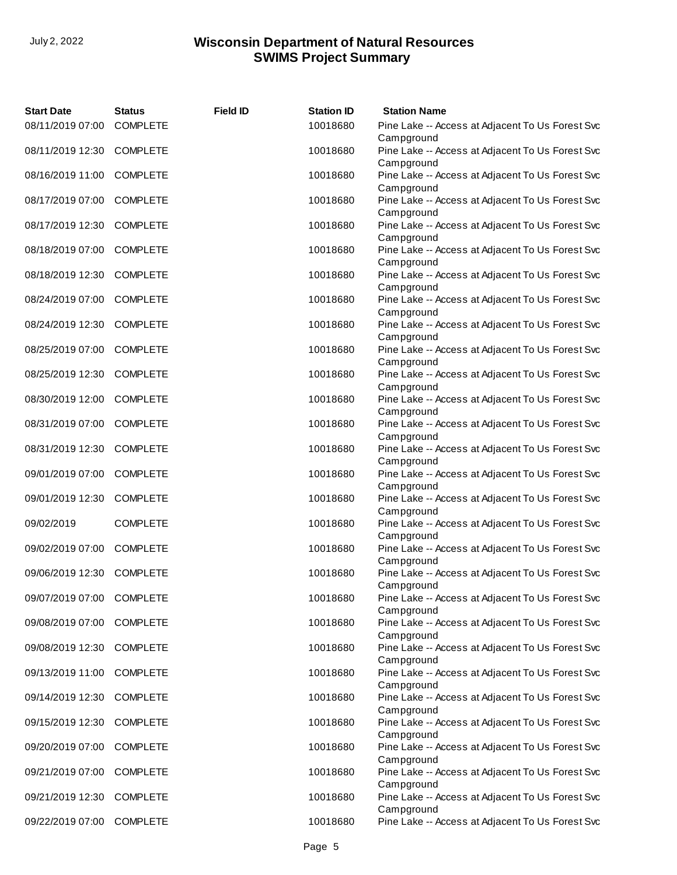| <b>Start Date</b>         | <b>Status</b>   | <b>Field ID</b> | <b>Station ID</b> | <b>Station Name</b>                                            |
|---------------------------|-----------------|-----------------|-------------------|----------------------------------------------------------------|
| 08/11/2019 07:00          | <b>COMPLETE</b> |                 | 10018680          | Pine Lake -- Access at Adjacent To Us Forest Svc<br>Campground |
| 08/11/2019 12:30 COMPLETE |                 |                 | 10018680          | Pine Lake -- Access at Adjacent To Us Forest Svc<br>Campground |
| 08/16/2019 11:00 COMPLETE |                 |                 | 10018680          | Pine Lake -- Access at Adjacent To Us Forest Svc<br>Campground |
| 08/17/2019 07:00 COMPLETE |                 |                 | 10018680          | Pine Lake -- Access at Adjacent To Us Forest Svc<br>Campground |
| 08/17/2019 12:30          | <b>COMPLETE</b> |                 | 10018680          | Pine Lake -- Access at Adjacent To Us Forest Svc<br>Campground |
| 08/18/2019 07:00          | <b>COMPLETE</b> |                 | 10018680          | Pine Lake -- Access at Adjacent To Us Forest Svc<br>Campground |
| 08/18/2019 12:30          | <b>COMPLETE</b> |                 | 10018680          | Pine Lake -- Access at Adjacent To Us Forest Svc<br>Campground |
| 08/24/2019 07:00          | <b>COMPLETE</b> |                 | 10018680          | Pine Lake -- Access at Adjacent To Us Forest Svc<br>Campground |
| 08/24/2019 12:30          | <b>COMPLETE</b> |                 | 10018680          | Pine Lake -- Access at Adjacent To Us Forest Svc<br>Campground |
| 08/25/2019 07:00 COMPLETE |                 |                 | 10018680          | Pine Lake -- Access at Adjacent To Us Forest Svc<br>Campground |
| 08/25/2019 12:30 COMPLETE |                 |                 | 10018680          | Pine Lake -- Access at Adjacent To Us Forest Svc<br>Campground |
| 08/30/2019 12:00          | <b>COMPLETE</b> |                 | 10018680          | Pine Lake -- Access at Adjacent To Us Forest Svc<br>Campground |
| 08/31/2019 07:00          | <b>COMPLETE</b> |                 | 10018680          | Pine Lake -- Access at Adjacent To Us Forest Svc<br>Campground |
| 08/31/2019 12:30          | <b>COMPLETE</b> |                 | 10018680          | Pine Lake -- Access at Adjacent To Us Forest Svc<br>Campground |
| 09/01/2019 07:00          | <b>COMPLETE</b> |                 | 10018680          | Pine Lake -- Access at Adjacent To Us Forest Svc<br>Campground |
| 09/01/2019 12:30          | <b>COMPLETE</b> |                 | 10018680          | Pine Lake -- Access at Adjacent To Us Forest Svc<br>Campground |
| 09/02/2019                | <b>COMPLETE</b> |                 | 10018680          | Pine Lake -- Access at Adjacent To Us Forest Svc<br>Campground |
| 09/02/2019 07:00          | <b>COMPLETE</b> |                 | 10018680          | Pine Lake -- Access at Adjacent To Us Forest Svc<br>Campground |
| 09/06/2019 12:30 COMPLETE |                 |                 | 10018680          | Pine Lake -- Access at Adjacent To Us Forest Svc<br>Campground |
| 09/07/2019 07:00 COMPLETE |                 |                 | 10018680          | Pine Lake -- Access at Adjacent To Us Forest Svc<br>Campground |
| 09/08/2019 07:00          | <b>COMPLETE</b> |                 | 10018680          | Pine Lake -- Access at Adjacent To Us Forest Svc<br>Campground |
| 09/08/2019 12:30 COMPLETE |                 |                 | 10018680          | Pine Lake -- Access at Adjacent To Us Forest Svc<br>Campground |
| 09/13/2019 11:00 COMPLETE |                 |                 | 10018680          | Pine Lake -- Access at Adjacent To Us Forest Svc<br>Campground |
| 09/14/2019 12:30          | <b>COMPLETE</b> |                 | 10018680          | Pine Lake -- Access at Adjacent To Us Forest Svc<br>Campground |
| 09/15/2019 12:30          | <b>COMPLETE</b> |                 | 10018680          | Pine Lake -- Access at Adjacent To Us Forest Svc<br>Campground |
| 09/20/2019 07:00          | <b>COMPLETE</b> |                 | 10018680          | Pine Lake -- Access at Adjacent To Us Forest Svc<br>Campground |
| 09/21/2019 07:00          | <b>COMPLETE</b> |                 | 10018680          | Pine Lake -- Access at Adjacent To Us Forest Svc<br>Campground |
| 09/21/2019 12:30          | <b>COMPLETE</b> |                 | 10018680          | Pine Lake -- Access at Adjacent To Us Forest Svc<br>Campground |
| 09/22/2019 07:00 COMPLETE |                 |                 | 10018680          | Pine Lake -- Access at Adjacent To Us Forest Svc               |